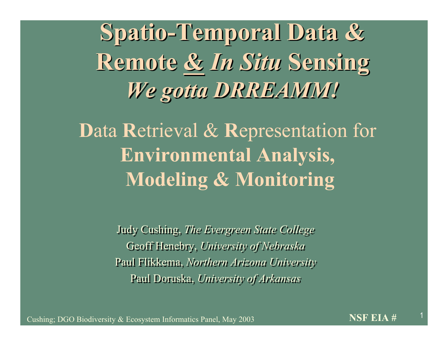**Spatio-Temporal Data & Spatio-Temporal Data & Remote &** *In Situ* **Sensing Remote &** *In Situ* **Sensing** *We gotta DRREAMM! We gotta DRREAMM!*

**D**ata **R**etrieval & **R**epresentation for **Environmental Analysis, Modeling & Monitoring**

> Judy Cushing, *The Evergreen State College* Judy Cushing, *The Evergreen State College* Geoff Henebry, *University of Nebraska* Geoff Henebry, *University of Nebraska* Paul Flikkema, *Northern Arizona University* Paul Flikkema, *Northern Arizona University* Paul Doruska, *University of Arkansas* Paul Doruska, *University of Arkansas*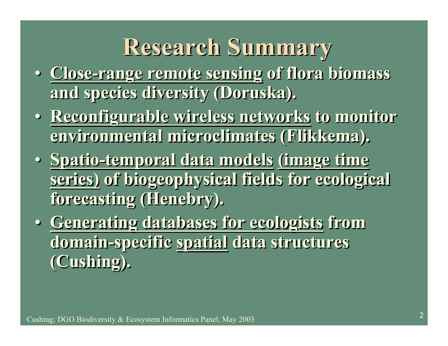#### **Research Summary**

- **Close-range remote sensing of flora biomass Close-range remote sensing of flora biomass and species diversity (Doruska). and species diversity (Doruska).**
- **Reconfigurable wireless networks to monitor Reconfigurable wireless networks to monitor environmental microclimates (Flikkema). environmental microclimates (Flikkema).**
- **Spatio-temporal data models (image time Spatio-temporal data models (image time series) of biogeophysical fields for ecological series) of biogeophysical fields for ecological forecasting (Henebry). forecasting (Henebry).**
- **Generating databases for ecologists from Generating databases for ecologists from domain-specific spatial data structures domain-specific spatial data structures (Cushing). (Cushing).**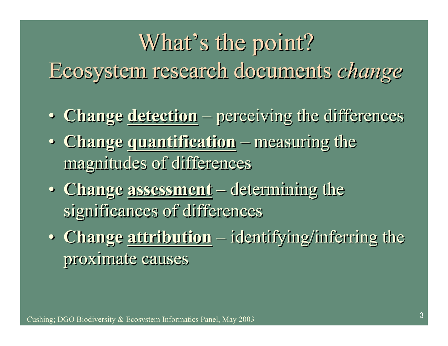# What's the point? What's the point? Ecosystem research documents *change* Ecosystem research documents *change*

- **Change detection** perceiving the differences **Change detection** perceiving the differences
- **Change quantification** measuring the **Change quantification** measuring the magnitudes of differences magnitudes of differences
- **Change assessment** determining the **Change assessment** determining the significances of differences significances of differences
- **Change attribution** identifying/inferring the **Change attribution** identifying/inferring the proximate causes proximate causes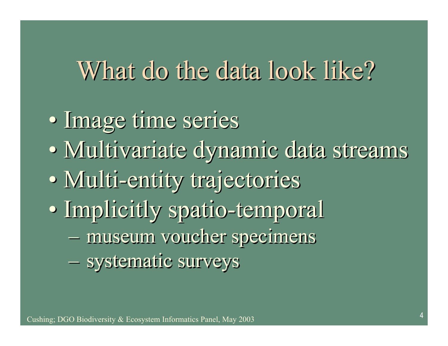#### What do the data look like?

- Image time series Image time series
- Multivariate dynamic data streams Multivariate dynamic data streams
- Multi-entity trajectories Multi-entity trajectories
- Implicitly spatio-temporal Implicitly spatio-temporal
	- museum voucher specimens museum voucher specimens
	- systematic surveys systematic surveys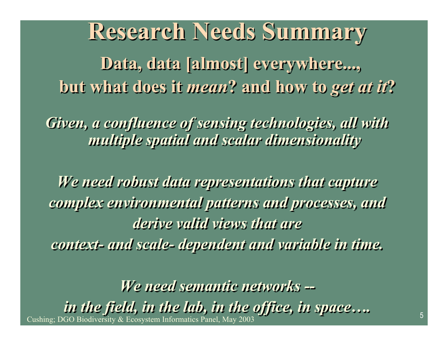## **Research Needs Summary Research Needs Summary**

**Data, data [almost] everywhere..., Data, data [almost] everywhere..., but what does it** *mean***? and how to** *get at it***? but what does it** *mean***? and how to** *get at it***?**

*Given, a confluence of sensing technologies, all with Given, a confluence of sensing technologies, all with multiple spatial and scalar dimensionality multiple spatial and scalar dimensionality*

*We need robust data representations that capture We need robust data representations that capture complex environmental patterns and processes, and complex environmental patterns and processes, and derive valid views that are derive valid views that are context- and scale- dependent and variable in time. context- and scale- dependent and variable in time.*

<sup>5</sup> Cushing; DGO Biodiversity & Ecosystem Informatics Panel, May 2003 *We need semantic networks -- We need semantic networks - in the field, in the lab, in the office, in space…. in the field, in the lab, in the office, in space….*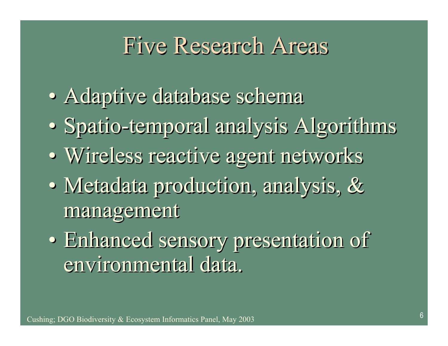#### Five Research Research Areas

- Adaptive database schema Adaptive database schema
- Spatio-temporal analysis Algorithms Spatio-temporal analysis Algorithms
- Wireless reactive agent networks Wireless reactive agent networks
- Metadata production, analysis, & Metadata production, analysis, & management management
- Enhanced sensory presentation of Enhanced sensory presentation of environmental data. environmental data.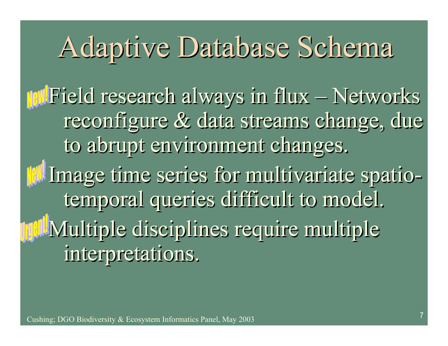# Adaptive Database Schema

Field research always in flux – Networks Field research always in flux – Networks reconfigure & data streams change, due reconfigure & data streams change, due to abrupt environment changes. to abrupt environment changes. Image time series for multivariate spatio-Image time series for multivariate spatiotemporal queries difficult to model. temporal queries difficult to model. Multiple disciplines require multiple Multiple disciplines require multiple

interpretations. interpretations.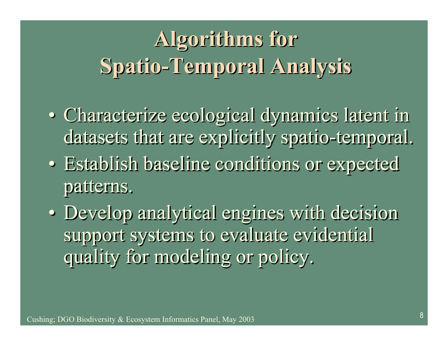## **Algorithms for Algorithms for Spatio-Temporal Analysis Spatio-Temporal Analysis**

- Characterize ecological dynamics latent in Characterize ecological dynamics latent in datasets that are explicitly spatio-temporal. datasets that are explicitly spatio-temporal.
- Establish baseline conditions or expected Establish baseline conditions or expected patterns. patterns.
- Develop analytical engines with decision Develop analytical engines with decision support systems to evaluate evidential support systems to evaluate evidential quality for modeling or policy. quality for modeling or policy.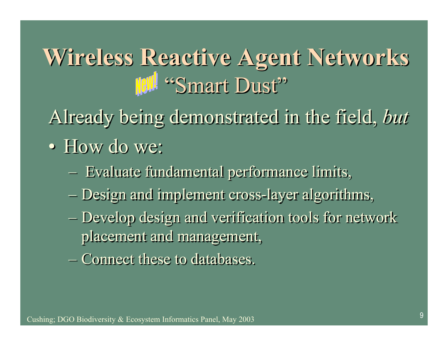## **Wireless Reactive Agent Networks Wireless Reactive Agent Networks** "Smart Dust"

Already being demonstrated in the field, *but* Already being demonstrated in the field, *but*

- How do we: How do we:
	- Evaluate fundamental performance limits, Evaluate fundamental performance limits,
	- Design and implement cross-layer algorithms, Design and implement cross-layer algorithms,
	- Develop design and verification tools for network Develop design and verification tools for network placement and management, placement and management,
	- Connect these to databases. Connect these to databases.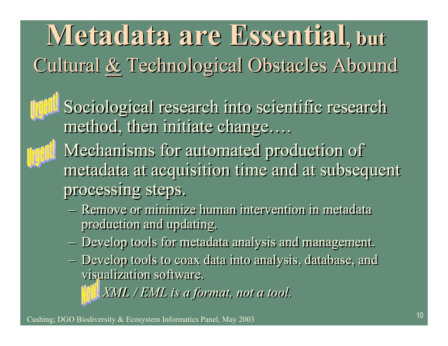**Metadata are Essential, but Metadata are Essential, but** Cultural & Technological Obstacles Abound Cultural & Technological Obstacles Abound

Il Sociological research into scientific research method, then initiate change…. method, then initiate change….



**||** Mechanisms for automated production of metadata at acquisition time and at subsequent metadata at acquisition time and at subsequent processing steps. processing steps.

- Remove or minimize human intervention in metadata Remove or minimize human intervention in metadata production and updating. production and updating.
- Develop tools for metadata analysis and management. Develop tools for metadata analysis and management.
- Develop tools to coax data into analysis, database, and Develop tools to coax data into analysis, database, and visualization software. visualization software.

• *XML / EML is a format, not a tool.* • *XML / EML is a format, not a tool.*